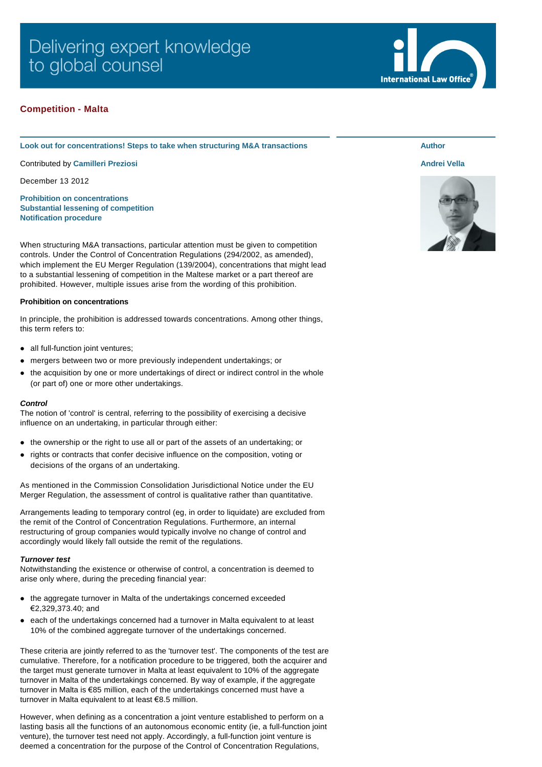# Delivering expert knowledge to global counsel

# **Competition - Malta**

#### **Look out for concentrations! Steps to take when structuring M&A transactions**

Contributed by **[Camilleri Preziosi](http://www.internationallawoffice.com/gesr.ashx?l=7HJWC51)**

December 13 2012

**[Prohibition on concentrations](#page-0-0) [Substantial lessening of competition](#page-1-0) [Notification procedure](#page-1-1)**

When structuring M&A transactions, particular attention must be given to competition controls. Under the Control of Concentration Regulations (294/2002, as amended), which implement the EU Merger Regulation (139/2004), concentrations that might lead to a substantial lessening of competition in the Maltese market or a part thereof are prohibited. However, multiple issues arise from the wording of this prohibition.

## <span id="page-0-0"></span>**Prohibition on concentrations**

In principle, the prohibition is addressed towards concentrations. Among other things, this term refers to:

- all full-function joint ventures;
- mergers between two or more previously independent undertakings; or
- the acquisition by one or more undertakings of direct or indirect control in the whole (or part of) one or more other undertakings.

## *Control*

The notion of 'control' is central, referring to the possibility of exercising a decisive influence on an undertaking, in particular through either:

- the ownership or the right to use all or part of the assets of an undertaking; or
- rights or contracts that confer decisive influence on the composition, voting or decisions of the organs of an undertaking.

As mentioned in the Commission Consolidation Jurisdictional Notice under the EU Merger Regulation, the assessment of control is qualitative rather than quantitative.

Arrangements leading to temporary control (eg, in order to liquidate) are excluded from the remit of the Control of Concentration Regulations. Furthermore, an internal restructuring of group companies would typically involve no change of control and accordingly would likely fall outside the remit of the regulations.

#### *Turnover test*

Notwithstanding the existence or otherwise of control, a concentration is deemed to arise only where, during the preceding financial year:

- the aggregate turnover in Malta of the undertakings concerned exceeded €2,329,373.40; and
- l each of the undertakings concerned had a turnover in Malta equivalent to at least 10% of the combined aggregate turnover of the undertakings concerned.

These criteria are jointly referred to as the 'turnover test'. The components of the test are cumulative. Therefore, for a notification procedure to be triggered, both the acquirer and the target must generate turnover in Malta at least equivalent to 10% of the aggregate turnover in Malta of the undertakings concerned. By way of example, if the aggregate turnover in Malta is €85 million, each of the undertakings concerned must have a turnover in Malta equivalent to at least €8.5 million.

However, when defining as a concentration a joint venture established to perform on a lasting basis all the functions of an autonomous economic entity (ie, a full-function joint venture), the turnover test need not apply. Accordingly, a full-function joint venture is deemed a concentration for the purpose of the Control of Concentration Regulations,



# **[Andrei Vella](http://www.internationallawoffice.com/gesr.ashx?l=7HJWC54)**

**Author**